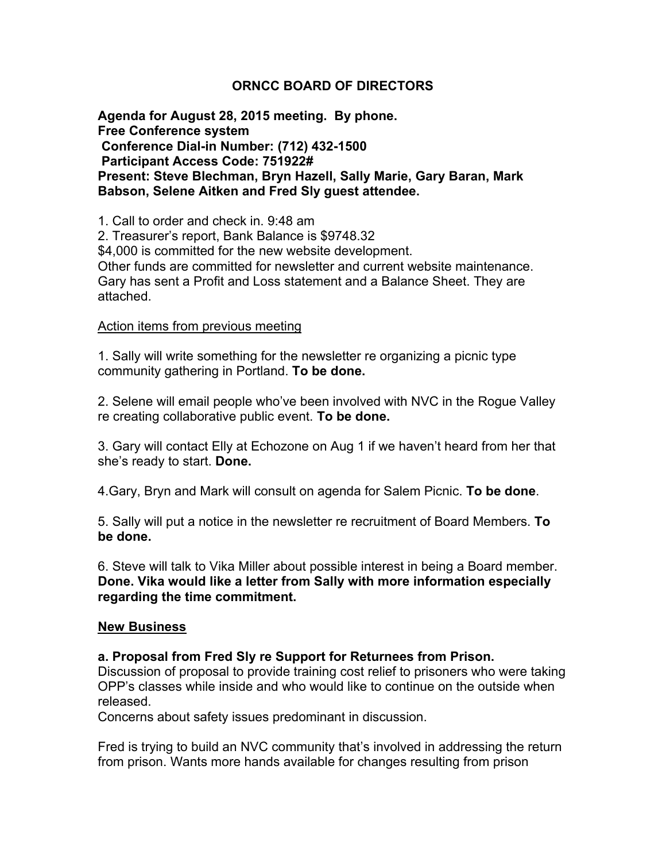#### **ORNCC BOARD OF DIRECTORS**

**Agenda for August 28, 2015 meeting. By phone. Free Conference system Conference Dial-in Number: (712) 432-1500 Participant Access Code: 751922# Present: Steve Blechman, Bryn Hazell, Sally Marie, Gary Baran, Mark Babson, Selene Aitken and Fred Sly guest attendee.** 

1. Call to order and check in. 9:48 am

2. Treasurer's report, Bank Balance is \$9748.32

\$4,000 is committed for the new website development.

Other funds are committed for newsletter and current website maintenance. Gary has sent a Profit and Loss statement and a Balance Sheet. They are attached.

#### Action items from previous meeting

1. Sally will write something for the newsletter re organizing a picnic type community gathering in Portland. **To be done.** 

2. Selene will email people who've been involved with NVC in the Rogue Valley re creating collaborative public event. **To be done.** 

3. Gary will contact Elly at Echozone on Aug 1 if we haven't heard from her that she's ready to start. **Done.** 

4.Gary, Bryn and Mark will consult on agenda for Salem Picnic. **To be done**.

5. Sally will put a notice in the newsletter re recruitment of Board Members. **To be done.**

6. Steve will talk to Vika Miller about possible interest in being a Board member. **Done. Vika would like a letter from Sally with more information especially regarding the time commitment.** 

#### **New Business**

#### **a. Proposal from Fred Sly re Support for Returnees from Prison.**

Discussion of proposal to provide training cost relief to prisoners who were taking OPP's classes while inside and who would like to continue on the outside when released.

Concerns about safety issues predominant in discussion.

Fred is trying to build an NVC community that's involved in addressing the return from prison. Wants more hands available for changes resulting from prison